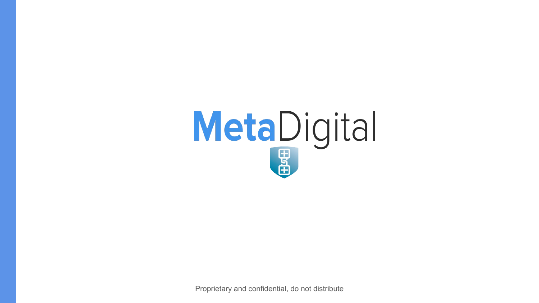

Proprietary and confidential, do not distribute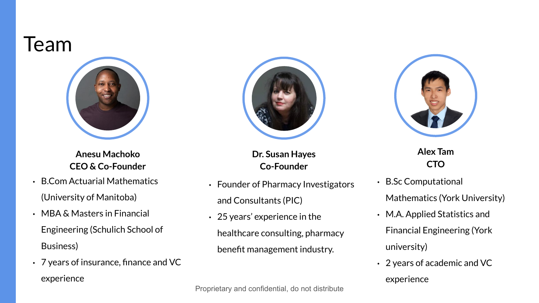#### Team



**Anesu Machoko CEO & Co-Founder**

- B.Com Actuarial Mathematics (University of Manitoba)
- MBA & Masters in Financial Engineering (Schulich School of Business)
- 7 years of insurance, finance and VC experience



**Dr. Susan Hayes Co-Founder**

- Founder of Pharmacy Investigators and Consultants (PIC)
- 25 years' experience in the healthcare consulting, pharmacy benefit management industry.



**Alex Tam CTO**

- B.Sc Computational Mathematics (York University)
- M.A. Applied Statistics and Financial Engineering (York university)
- 2 years of academic and VC experience

Proprietary and confidential, do not distribute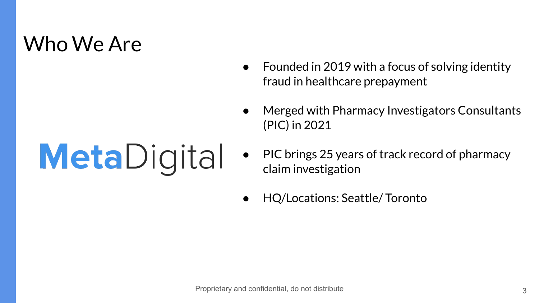#### Who We Are

# **Meta**Digital

- Founded in 2019 with a focus of solving identity fraud in healthcare prepayment
- Merged with Pharmacy Investigators Consultants (PIC) in 2021
- PIC brings 25 years of track record of pharmacy claim investigation
- HQ/Locations: Seattle/ Toronto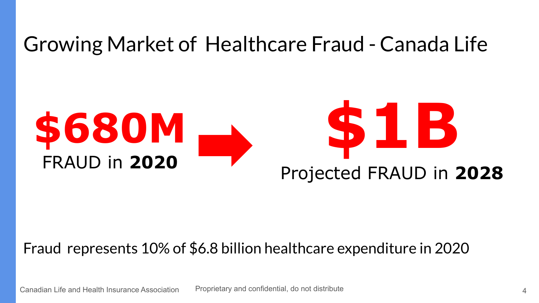#### Growing Market of Healthcare Fraud - Canada Life



#### Fraud represents 10% of \$6.8 billion healthcare expenditure in 2020

Proprietary and confidential, do not distribute Canadian Life and Health Insurance Association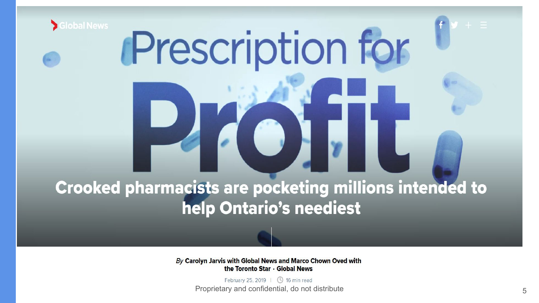

# **Prescription for**

#### **Crooked pharmacists are pocketing millions intended to** help Ontario's neediest

By Carolyn Jarvis with Global News and Marco Chown Oved with the Toronto Star · Global News

> February 25, 2019 | 4 16 min read Proprietary and confidential, do not distribute 5 and 5 and 5 and 5 and 5 and 5 and 5 and 5 and 5 and 5 and 5 and 5 and 5 and 5 and 5 and 5 and 5 and 5 and 5 and 5 and 5 and 5 and 5 and 5 and 5 and 5 and 5 and 5 and 5 and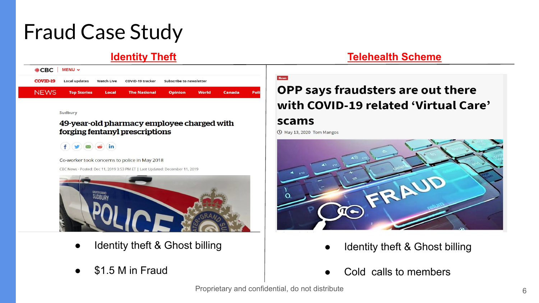## Fraud Case Study

| ● CBC   MENU >  |                      |            |                     |                         |  |        |       |
|-----------------|----------------------|------------|---------------------|-------------------------|--|--------|-------|
| <b>COVID-19</b> | <b>Local updates</b> | Watch Live | COVID-19 tracker    | Subscribe to newsletter |  |        |       |
| NFWS.           | <b>Top Stories</b>   | Local      | <b>The National</b> | <b>Opinion</b> World    |  | Canada | Polit |

Sudbury

#### 49-year-old pharmacy employee charged with forging fentanyl prescriptions



Co-worker took concerns to police in May 2018

CBC News · Posted: Dec 11, 2019 3:53 PM ET | Last Updated: December 11, 2019



- Identity theft & Ghost billing
- \$1.5 M in Fraud

#### **[Identity Theft](https://www.thechronicleherald.ca/news/provincial/health-care-fraudster-gets-discharge-for-forging-prescriptions-bills-347214/) [Telehealth Scheme](https://pharmaphorum.com/news/humana-lawsuit-exposes-fraud-risk-in-high-growth-telehealth-market/)**

#### **OPP says fraudsters are out there** with COVID-19 related 'Virtual Care'

#### scams

**① May 13, 2020 Tom Mangos** 



- Identity theft & Ghost billing
- Cold calls to members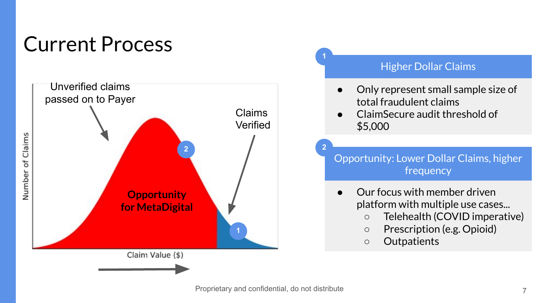## Current Process



#### Higher Dollar Claims

- Only represent small sample size of total fraudulent claims
- ClaimSecure audit threshold of \$5,000

Opportunity: Lower Dollar Claims, higher frequency

- Our focus with member driven platform with multiple use cases...
	- Telehealth (COVID imperative)
	- Prescription (e.g. Opioid)
	- Outpatients

**1**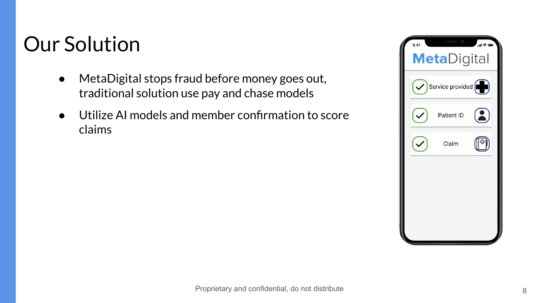## Our Solution

- MetaDigital stops fraud before money goes out, headtional e **Indianal condition accepting claims** traditional solution use pay and chase models
- Utilize AI models and member confirmation to score claims

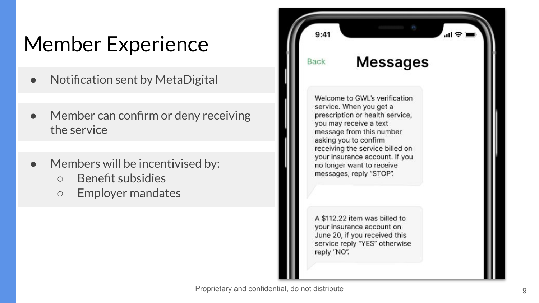## Member Experience

- Notification sent by MetaDigital
- Member can confirm or deny receiving the service
- Members will be incentivised by:
	- Benefit subsidies
	- Employer mandates

 $9:41$ **Messages** Back Welcome to GWL's verification service. When you get a prescription or health service, you may receive a text message from this number asking you to confirm receiving the service billed on your insurance account. If you no longer want to receive messages, reply "STOP". A \$112.22 item was billed to vour insurance account on June 20, if you received this service reply "YES" otherwise reply "NO".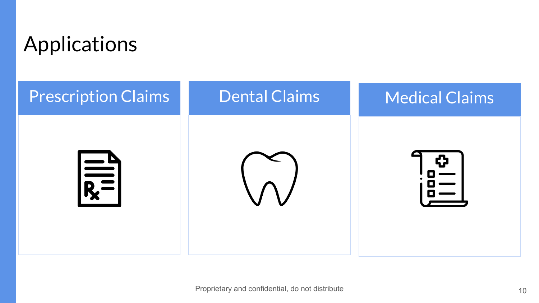

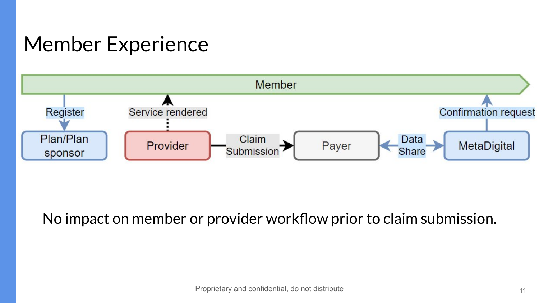## Member Experience



No impact on member or provider workflow prior to claim submission.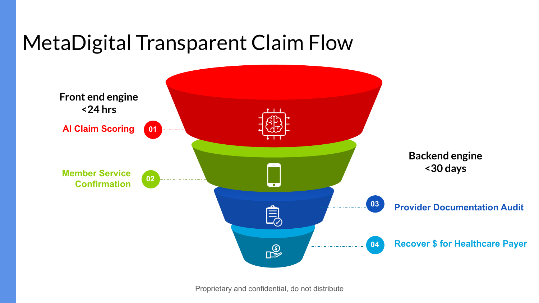## MetaDigital Transparent Claim Flow



Proprietary and confidential, do not distribute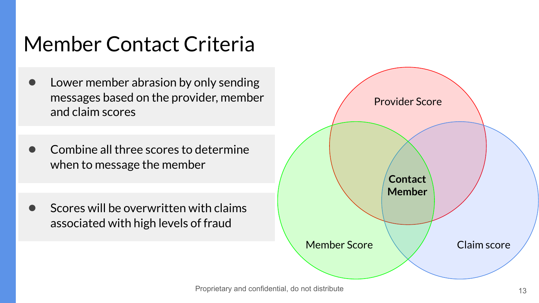## Member Contact Criteria

- Lower member abrasion by only sending messages based on the provider, member and claim scores
- Combine all three scores to determine when to message the member
- Scores will be overwritten with claims associated with high levels of fraud

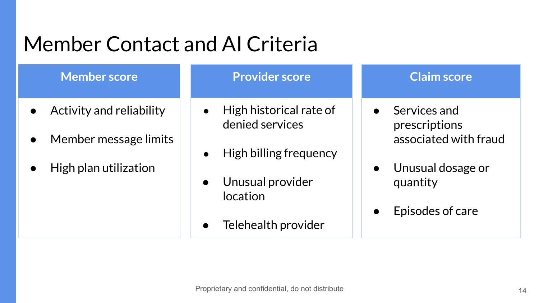## Member Contact and AI Criteria

#### **Member score**

- Activity and reliability
- Member message limits
- High plan utilization

#### **Provider score**

- High historical rate of denied services
- High billing frequency
- Unusual provider location
- Telehealth provider

#### **Claim score**

- Services and prescriptions associated with fraud
- Unusual dosage or quantity
- Episodes of care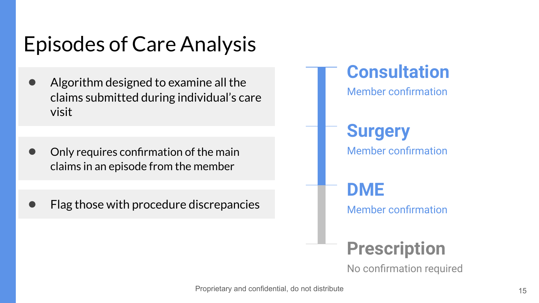## Episodes of Care Analysis

- Algorithm designed to examine all the claims submitted during individual's care visit
- Only requires confirmation of the main claims in an episode from the member
- Flag those with procedure discrepancies

**Surgery** Member confirmation **Prescription DME** Member confirmation **Consultation** Member confirmation

No confirmation required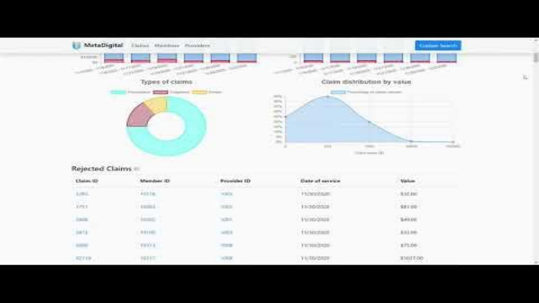

 $\mathbb{L}$ 

#### Rejected Claims

| other race research<br>the first painting and was student to |               |                                                                 |                                           |                                  |  |
|--------------------------------------------------------------|---------------|-----------------------------------------------------------------|-------------------------------------------|----------------------------------|--|
| <b>Claim ID</b><br>----                                      |               | with the control and the<br><b>Fromidae ID</b><br>المشركستانية: | the state of the first state of the state | <b>CALL AND COMPANY</b><br>Value |  |
| keni.<br>Veri                                                | <b>ASSESS</b> | $\sim$ and                                                      | <b>Historica</b>                          | $-5.57346$<br><b>STATISTICS</b>  |  |
|                                                              | renda         | $\sim$                                                          | is cousing?                               | inno.                            |  |
| 3908                                                         | line 5        | n20.01                                                          | Honograph                                 | \$40.00                          |  |
| 387.1                                                        | $-0.014446$   | ce s                                                            | tuseaut                                   | A33.06                           |  |
|                                                              | (9900)        | <b>TER</b>                                                      | 1100000                                   | 175.00                           |  |
| <b>SZTTP</b>                                                 | HESIT!        | 99                                                              | TV10/2020                                 | 1103130                          |  |
|                                                              |               |                                                                 |                                           |                                  |  |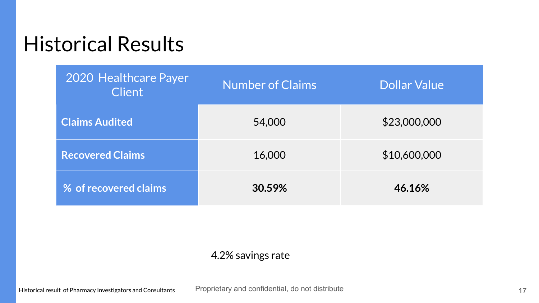#### Historical Results

| 2020 Healthcare Payer<br><b>Client</b> | <b>Number of Claims</b> | <b>Dollar Value</b> |
|----------------------------------------|-------------------------|---------------------|
| <b>Claims Audited</b>                  | 54,000                  | \$23,000,000        |
| <b>Recovered Claims</b>                | 16,000                  | \$10,600,000        |
| % of recovered claims                  | 30.59%                  | 46.16%              |

#### 4.2% savings rate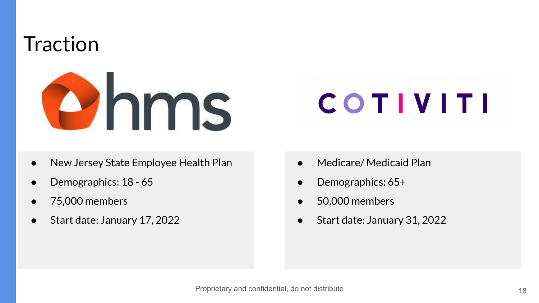## **Traction**



## **COTIVITI**

- New Jersey State Employee Health Plan
- Demographics: 18 65
- 75,000 members
- Start date: January 17, 2022
- Medicare/Medicaid Plan
- Demographics: 65+
- 50,000 members
- Start date: January 31, 2022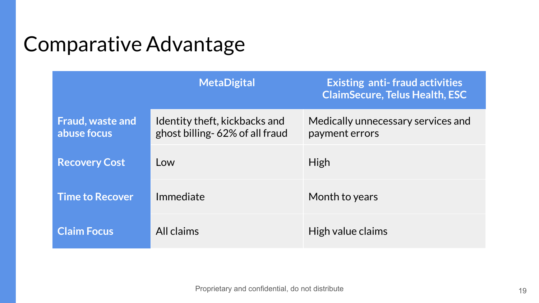## Comparative Advantage

|                                        | <b>MetaDigital</b>                                               | <b>Existing anti-fraud activities</b><br><b>ClaimSecure, Telus Health, ESC</b> |
|----------------------------------------|------------------------------------------------------------------|--------------------------------------------------------------------------------|
| <b>Fraud, waste and</b><br>abuse focus | Identity theft, kickbacks and<br>ghost billing- 62% of all fraud | Medically unnecessary services and<br>payment errors                           |
| <b>Recovery Cost</b>                   | Low                                                              | <b>High</b>                                                                    |
| <b>Time to Recover</b>                 | Immediate                                                        | Month to years                                                                 |
| <b>Claim Focus</b>                     | All claims                                                       | High value claims                                                              |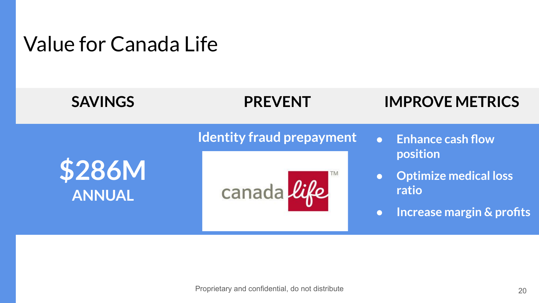#### Value for Canada Life

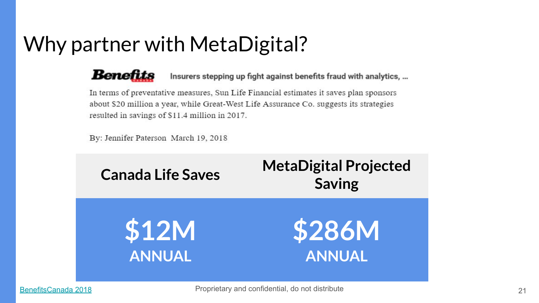## Why partner with MetaDigital?

Benefits

Insurers stepping up fight against benefits fraud with analytics, ...

In terms of preventative measures, Sun Life Financial estimates it saves plan sponsors about \$20 million a year, while Great-West Life Assurance Co. suggests its strategies resulted in savings of \$11.4 million in 2017.

By: Jennifer Paterson March 19, 2018